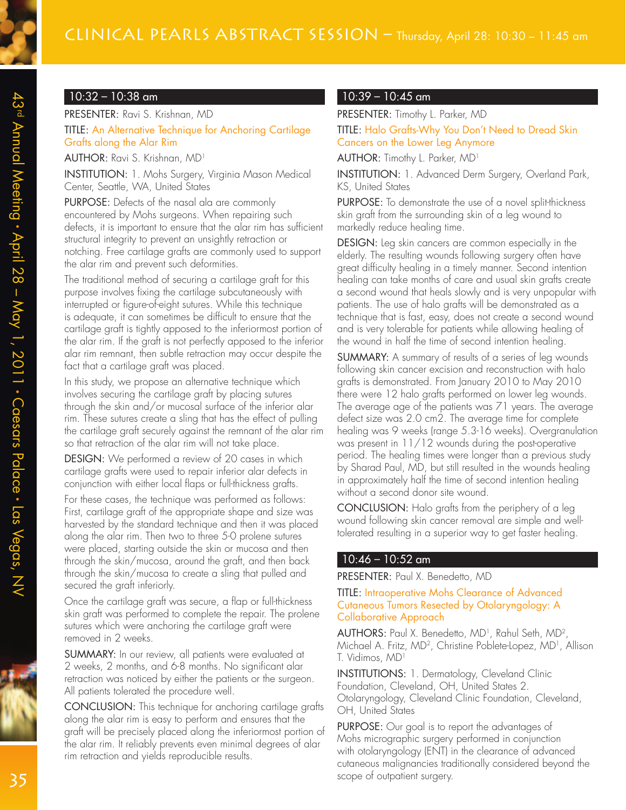# CLINICAL PEARLS ABSTRACT SESSION - Thursday, April 28: 10:30 - 11:45 am

# 10:32 – 10:38 am

## PRESENTER: Ravi S. Krishnan, MD

TITLE: An Alternative Technique for Anchoring Cartilage Grafts along the Alar Rim

AUTHOR: Ravi S. Krishnan, MD<sup>1</sup>

INSTITUTION: 1. Mohs Surgery, Virginia Mason Medical Center, Seattle, WA, United States

PURPOSE: Defects of the nasal ala are commonly encountered by Mohs surgeons. When repairing such defects, it is important to ensure that the alar rim has sufficient structural integrity to prevent an unsightly retraction or notching. Free cartilage grafts are commonly used to support the alar rim and prevent such deformities.

The traditional method of securing a cartilage graft for this purpose involves fixing the cartilage subcutaneously with interrupted or figure-of-eight sutures. While this technique is adequate, it can sometimes be difficult to ensure that the cartilage graft is tightly apposed to the inferiormost portion of the alar rim. If the graft is not perfectly apposed to the inferior alar rim remnant, then subtle retraction may occur despite the fact that a cartilage graft was placed.

In this study, we propose an alternative technique which involves securing the cartilage graft by placing sutures through the skin and/or mucosal surface of the inferior alar rim. These sutures create a sling that has the effect of pulling the cartilage graft securely against the remnant of the alar rim so that retraction of the alar rim will not take place.

DESIGN: We performed a review of 20 cases in which cartilage grafts were used to repair inferior alar defects in conjunction with either local flaps or full-thickness grafts.

For these cases, the technique was performed as follows: First, cartilage graft of the appropriate shape and size was harvested by the standard technique and then it was placed along the alar rim. Then two to three 5-0 prolene sutures were placed, starting outside the skin or mucosa and then through the skin/mucosa, around the graft, and then back through the skin/mucosa to create a sling that pulled and secured the graft inferiorly.

Once the cartilage graft was secure, a flap or full-thickness skin graft was performed to complete the repair. The prolene sutures which were anchoring the cartilage graft were removed in 2 weeks.

SUMMARY: In our review, all patients were evaluated at 2 weeks, 2 months, and 6-8 months. No significant alar retraction was noticed by either the patients or the surgeon. All patients tolerated the procedure well.

CONCLUSION: This technique for anchoring cartilage grafts along the alar rim is easy to perform and ensures that the graft will be precisely placed along the inferiormost portion of the alar rim. It reliably prevents even minimal degrees of alar rim retraction and yields reproducible results.

#### $10:39 - 10:45$  am

PRESENTER: Timothy L. Parker, MD TITLE: Halo Grafts-Why You Don't Need to Dread Skin Cancers on the Lower Leg Anymore

AUTHOR: Timothy L. Parker, MD<sup>1</sup>

INSTITUTION: 1. Advanced Derm Surgery, Overland Park, KS, United States

PURPOSE: To demonstrate the use of a novel split-thickness skin graft from the surrounding skin of a leg wound to markedly reduce healing time.

DESIGN: Leg skin cancers are common especially in the elderly. The resulting wounds following surgery often have great difficulty healing in a timely manner. Second intention healing can take months of care and usual skin grafts create a second wound that heals slowly and is very unpopular with patients. The use of halo grafts will be demonstrated as a technique that is fast, easy, does not create a second wound and is very tolerable for patients while allowing healing of the wound in half the time of second intention healing.

SUMMARY: A summary of results of a series of leg wounds following skin cancer excision and reconstruction with halo grafts is demonstrated. From January 2010 to May 2010 there were 12 halo grafts performed on lower leg wounds. The average age of the patients was 71 years. The average defect size was 2.0 cm2. The average time for complete healing was 9 weeks (range 5.3-16 weeks). Overgranulation was present in 11/12 wounds during the post-operative period. The healing times were longer than a previous study by Sharad Paul, MD, but still resulted in the wounds healing in approximately half the time of second intention healing without a second donor site wound.

CONCLUSION: Halo grafts from the periphery of a leg wound following skin cancer removal are simple and welltolerated resulting in a superior way to get faster healing.

#### 10:46 – 10:52 am

PRESENTER: Paul X. Benedetto, MD

TITLE: Intraoperative Mohs Clearance of Advanced Cutaneous Tumors Resected by Otolaryngology: A Collaborative Approach

AUTHORS: Paul X. Benedetto, MD<sup>1</sup> , Rahul Seth, MD<sup>2</sup> , Michael A. Fritz, MD<sup>2</sup>, Christine Poblete-Lopez, MD<sup>1</sup>, Allison T. Vidimos, MD<sup>1</sup>

INSTITUTIONS: 1. Dermatology, Cleveland Clinic Foundation, Cleveland, OH, United States 2. Otolaryngology, Cleveland Clinic Foundation, Cleveland, OH, United States

PURPOSE: Our goal is to report the advantages of Mohs micrographic surgery performed in conjunction with otolaryngology (ENT) in the clearance of advanced cutaneous malignancies traditionally considered beyond the scope of outpatient surgery.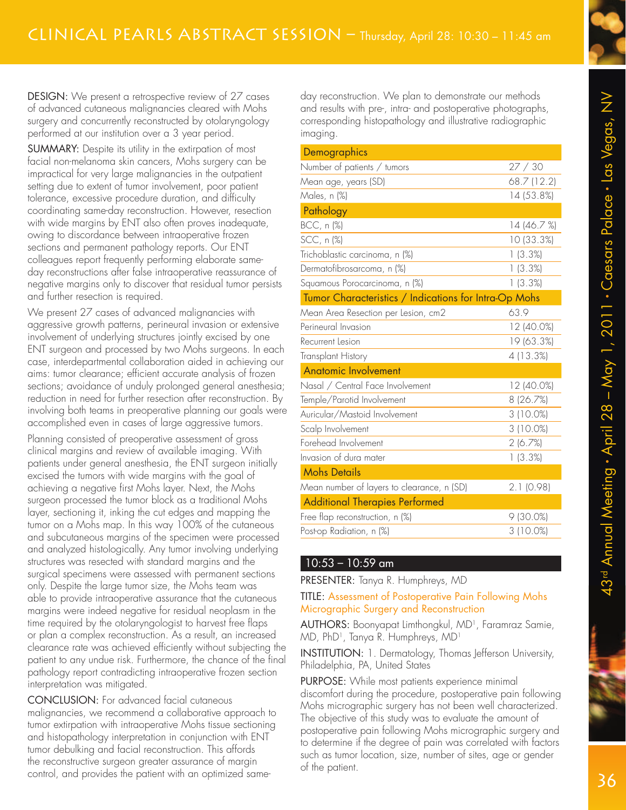DESIGN: We present a retrospective review of 27 cases of advanced cutaneous malignancies cleared with Mohs surgery and concurrently reconstructed by otolaryngology

SUMMARY: Despite its utility in the extirpation of most facial non-melanoma skin cancers, Mohs surgery can be impractical for very large malignancies in the outpatient setting due to extent of tumor involvement, poor patient tolerance, excessive procedure duration, and difficulty coordinating same-day reconstruction. However, resection with wide margins by ENT also often proves inadequate, owing to discordance between intraoperative frozen sections and permanent pathology reports. Our ENT colleagues report frequently performing elaborate sameday reconstructions after false intraoperative reassurance of negative margins only to discover that residual tumor persists and further resection is required.

performed at our institution over a 3 year period.

We present 27 cases of advanced malignancies with aggressive growth patterns, perineural invasion or extensive involvement of underlying structures jointly excised by one ENT surgeon and processed by two Mohs surgeons. In each case, interdepartmental collaboration aided in achieving our aims: tumor clearance; efficient accurate analysis of frozen sections; avoidance of unduly prolonged general anesthesia; reduction in need for further resection after reconstruction. By involving both teams in preoperative planning our goals were accomplished even in cases of large aggressive tumors.

Planning consisted of preoperative assessment of gross clinical margins and review of available imaging. With patients under general anesthesia, the ENT surgeon initially excised the tumors with wide margins with the goal of achieving a negative first Mohs layer. Next, the Mohs surgeon processed the tumor block as a traditional Mohs layer, sectioning it, inking the cut edges and mapping the tumor on a Mohs map. In this way 100% of the cutaneous and subcutaneous margins of the specimen were processed and analyzed histologically. Any tumor involving underlying structures was resected with standard margins and the surgical specimens were assessed with permanent sections only. Despite the large tumor size, the Mohs team was able to provide intraoperative assurance that the cutaneous margins were indeed negative for residual neoplasm in the time required by the otolaryngologist to harvest free flaps or plan a complex reconstruction. As a result, an increased clearance rate was achieved efficiently without subjecting the patient to any undue risk. Furthermore, the chance of the final pathology report contradicting intraoperative frozen section interpretation was mitigated.

CONCLUSION: For advanced facial cutaneous malignancies, we recommend a collaborative approach to tumor extirpation with intraoperative Mohs tissue sectioning and histopathology interpretation in conjunction with ENT tumor debulking and facial reconstruction. This affords the reconstructive surgeon greater assurance of margin control, and provides the patient with an optimized sameday reconstruction. We plan to demonstrate our methods and results with pre-, intra- and postoperative photographs, corresponding histopathology and illustrative radiographic imaging.

| Demographics                                          |             |
|-------------------------------------------------------|-------------|
| Number of patients / tumors                           | 27/30       |
| Mean age, years (SD)                                  | 68.7 (12.2) |
| Males, n (%)                                          | 14 (53.8%)  |
| Pathology                                             |             |
| BCC, n (%)                                            | 14 (46.7 %) |
| SCC, n (%)                                            | 10 (33.3%)  |
| Trichoblastic carcinoma, n (%)                        | 1(3.3%)     |
| Dermatofibrosarcoma, n (%)                            | 1(3.3%)     |
| Squamous Porocarcinoma, n (%)                         | 1(3.3%)     |
| Tumor Characteristics / Indications for Intra-Op Mohs |             |
| Mean Area Resection per Lesion, cm2                   | 63.9        |
| Perineural Invasion                                   | 12 (40.0%)  |
| Recurrent Lesion                                      | 19 (63.3%)  |
| Transplant History                                    | 4 (13.3%)   |
| <b>Anatomic Involvement</b>                           |             |
| Nasal / Central Face Involvement                      | 12 (40.0%)  |
| Temple/Parotid Involvement                            | 8 (26.7%)   |
| Auricular/Mastoid Involvement                         | 3 (10.0%)   |
| Scalp Involvement                                     | 3 (10.0%)   |
| Forehead Involvement                                  | 2(6.7%)     |
| Invasion of dura mater                                | 1(3.3%)     |
| <b>Mohs Details</b>                                   |             |
| Mean number of layers to clearance, n (SD)            | 2.1(0.98)   |
| <b>Additional Therapies Performed</b>                 |             |
| Free flap reconstruction, n (%)                       | 9(30.0%)    |
| Post-op Radiation, n (%)                              | 3 (10.0%)   |
|                                                       |             |

### 10:53 – 10:59 am

PRESENTER: Tanya R. Humphreys, MD

#### TITLE: Assessment of Postoperative Pain Following Mohs Micrographic Surgery and Reconstruction

AUTHORS: Boonyapat Limthongkul, MD<sup>1</sup> , Faramraz Samie, MD, PhD<sup>1</sup> , Tanya R. Humphreys, MD<sup>1</sup>

INSTITUTION: 1. Dermatology, Thomas Jefferson University, Philadelphia, PA, United States

PURPOSE: While most patients experience minimal discomfort during the procedure, postoperative pain following Mohs micrographic surgery has not been well characterized. The objective of this study was to evaluate the amount of postoperative pain following Mohs micrographic surgery and to determine if the degree of pain was correlated with factors such as tumor location, size, number of sites, age or gender of the patient.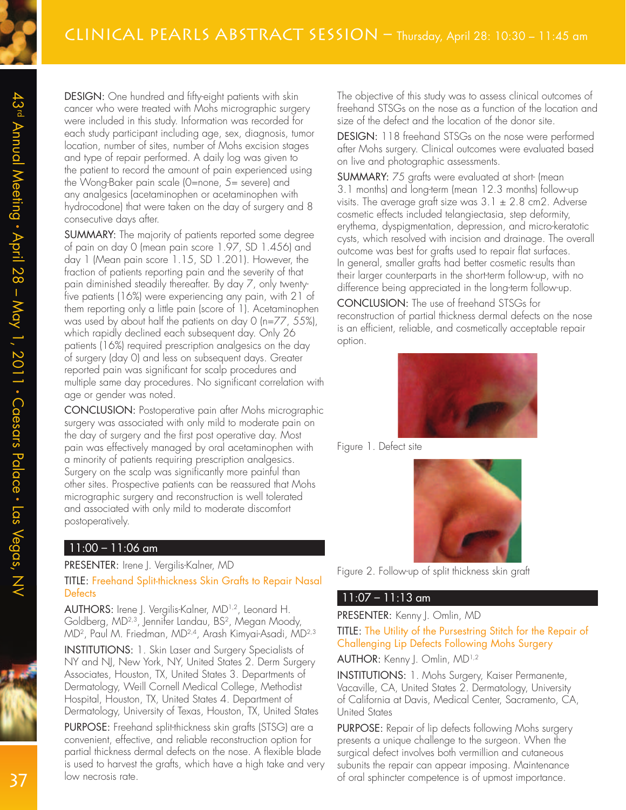DESIGN: One hundred and fifty-eight patients with skin cancer who were treated with Mohs micrographic surgery were included in this study. Information was recorded for each study participant including age, sex, diagnosis, tumor location, number of sites, number of Mohs excision stages and type of repair performed. A daily log was given to the patient to record the amount of pain experienced using the Wong-Baker pain scale (0=none, 5= severe) and any analgesics (acetaminophen or acetaminophen with hydrocodone) that were taken on the day of surgery and 8 consecutive days after.

SUMMARY: The majority of patients reported some degree of pain on day 0 (mean pain score 1.97, SD 1.456) and day 1 (Mean pain score 1.15, SD 1.201). However, the fraction of patients reporting pain and the severity of that pain diminished steadily thereafter. By day 7, only twentyfive patients (16%) were experiencing any pain, with 21 of them reporting only a little pain (score of 1). Acetaminophen was used by about half the patients on day 0 (n=77, 55%), which rapidly declined each subsequent day. Only 26 patients (16%) required prescription analgesics on the day of surgery (day 0) and less on subsequent days. Greater reported pain was significant for scalp procedures and multiple same day procedures. No significant correlation with age or gender was noted.

CONCLUSION: Postoperative pain after Mohs micrographic surgery was associated with only mild to moderate pain on the day of surgery and the first post operative day. Most pain was effectively managed by oral acetaminophen with a minority of patients requiring prescription analgesics. Surgery on the scalp was significantly more painful than other sites. Prospective patients can be reassured that Mohs micrographic surgery and reconstruction is well tolerated and associated with only mild to moderate discomfort postoperatively.

#### 11:00 – 11:06 am

#### PRESENTER: Irene J. Vergilis-Kalner, MD

#### TITLE: Freehand Split-thickness Skin Grafts to Repair Nasal **Defects**

AUTHORS: Irene J. Vergilis-Kalner, MD1,2, Leonard H. Goldberg, MD2,3, Jennifer Landau, BS<sup>2</sup> , Megan Moody, MD<sup>2</sup> , Paul M. Friedman, MD2,4, Arash Kimyai-Asadi, MD2,3

INSTITUTIONS: 1. Skin Laser and Surgery Specialists of NY and NJ, New York, NY, United States 2. Derm Surgery Associates, Houston, TX, United States 3. Departments of Dermatology, Weill Cornell Medical College, Methodist Hospital, Houston, TX, United States 4. Department of Dermatology, University of Texas, Houston, TX, United States

PURPOSE: Freehand split-thickness skin grafts (STSG) are a convenient, effective, and reliable reconstruction option for partial thickness dermal defects on the nose. A flexible blade is used to harvest the grafts, which have a high take and very low necrosis rate.

The objective of this study was to assess clinical outcomes of freehand STSGs on the nose as a function of the location and size of the defect and the location of the donor site.

DESIGN: 118 freehand STSGs on the nose were performed after Mohs surgery. Clinical outcomes were evaluated based on live and photographic assessments.

SUMMARY: 75 grafts were evaluated at short- (mean 3.1 months) and long-term (mean 12.3 months) follow-up visits. The average graft size was  $3.1 \pm 2.8$  cm2. Adverse cosmetic effects included telangiectasia, step deformity, erythema, dyspigmentation, depression, and micro-keratotic cysts, which resolved with incision and drainage. The overall outcome was best for grafts used to repair flat surfaces. In general, smaller grafts had better cosmetic results than their larger counterparts in the short-term follow-up, with no difference being appreciated in the long-term follow-up.

CONCLUSION: The use of freehand STSGs for reconstruction of partial thickness dermal defects on the nose is an efficient, reliable, and cosmetically acceptable repair option.



Figure 1. Defect site



Figure 2. Follow-up of split thickness skin graft

#### 11:07 – 11:13 am

PRESENTER: Kenny J. Omlin, MD

#### TITLE: The Utility of the Pursestring Stitch for the Repair of Challenging Lip Defects Following Mohs Surgery

AUTHOR: Kenny J. Omlin, MD1,2

INSTITUTIONS: 1. Mohs Surgery, Kaiser Permanente, Vacaville, CA, United States 2. Dermatology, University of California at Davis, Medical Center, Sacramento, CA, United States

PURPOSE: Repair of lip defects following Mohs surgery presents a unique challenge to the surgeon. When the surgical defect involves both vermillion and cutaneous subunits the repair can appear imposing. Maintenance of oral sphincter competence is of upmost importance.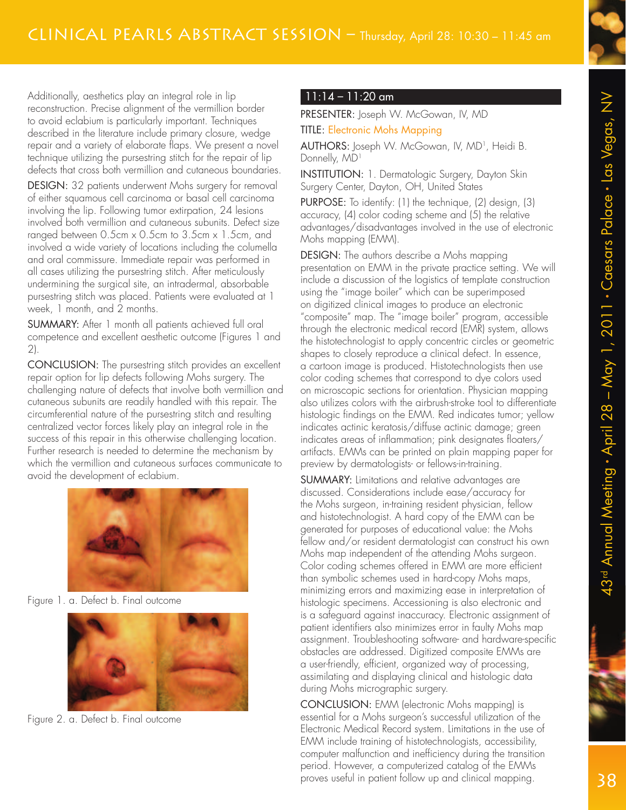

Additionally, aesthetics play an integral role in lip reconstruction. Precise alignment of the vermillion border to avoid eclabium is particularly important. Techniques described in the literature include primary closure, wedge repair and a variety of elaborate flaps. We present a novel technique utilizing the pursestring stitch for the repair of lip defects that cross both vermillion and cutaneous boundaries.

DESIGN: 32 patients underwent Mohs surgery for removal of either squamous cell carcinoma or basal cell carcinoma involving the lip. Following tumor extirpation, 24 lesions involved both vermillion and cutaneous subunits. Defect size ranged between 0.5cm x 0.5cm to 3.5cm x 1.5cm, and involved a wide variety of locations including the columella and oral commissure. Immediate repair was performed in all cases utilizing the pursestring stitch. After meticulously undermining the surgical site, an intradermal, absorbable pursestring stitch was placed. Patients were evaluated at 1 week, 1 month, and 2 months.

SUMMARY: After 1 month all patients achieved full oral competence and excellent aesthetic outcome (Figures 1 and 2).

CONCLUSION: The pursestring stitch provides an excellent repair option for lip defects following Mohs surgery. The challenging nature of defects that involve both vermillion and cutaneous subunits are readily handled with this repair. The circumferential nature of the pursestring stitch and resulting centralized vector forces likely play an integral role in the success of this repair in this otherwise challenging location. Further research is needed to determine the mechanism by which the vermillion and cutaneous surfaces communicate to avoid the development of eclabium.



Figure 1. a. Defect b. Final outcome



Figure 2. a. Defect b. Final outcome

## 11:14 – 11:20 am

PRESENTER: Joseph W. McGowan, IV, MD

TITLE: Electronic Mohs Mapping

**AUTHORS:** Joseph W. McGowan, IV, MD<sup>1</sup>, Heidi B. Donnelly, MD<sup>1</sup>

INSTITUTION: 1. Dermatologic Surgery, Dayton Skin Surgery Center, Dayton, OH, United States

PURPOSE: To identify: (1) the technique, (2) design, (3) accuracy, (4) color coding scheme and (5) the relative advantages/disadvantages involved in the use of electronic Mohs mapping (EMM).

DESIGN: The authors describe a Mohs mapping presentation on EMM in the private practice setting. We will include a discussion of the logistics of template construction using the "image boiler" which can be superimposed on digitized clinical images to produce an electronic "composite" map. The "image boiler" program, accessible through the electronic medical record (EMR) system, allows the histotechnologist to apply concentric circles or geometric shapes to closely reproduce a clinical defect. In essence, a cartoon image is produced. Histotechnologists then use color coding schemes that correspond to dye colors used on microscopic sections for orientation. Physician mapping also utilizes colors with the airbrush-stroke tool to differentiate histologic findings on the EMM. Red indicates tumor; yellow indicates actinic keratosis/diffuse actinic damage; green indicates areas of inflammation; pink designates floaters/ artifacts. EMMs can be printed on plain mapping paper for preview by dermatologists- or fellows-in-training.

SUMMARY: Limitations and relative advantages are discussed. Considerations include ease/accuracy for the Mohs surgeon, in-training resident physician, fellow and histotechnologist. A hard copy of the EMM can be generated for purposes of educational value: the Mohs fellow and/or resident dermatologist can construct his own Mohs map independent of the attending Mohs surgeon. Color coding schemes offered in EMM are more efficient than symbolic schemes used in hard-copy Mohs maps, minimizing errors and maximizing ease in interpretation of histologic specimens. Accessioning is also electronic and is a safeguard against inaccuracy. Electronic assignment of patient identifiers also minimizes error in faulty Mohs map assignment. Troubleshooting software- and hardware-specific obstacles are addressed. Digitized composite EMMs are a user-friendly, efficient, organized way of processing, assimilating and displaying clinical and histologic data during Mohs micrographic surgery.

CONCLUSION: EMM (electronic Mohs mapping) is essential for a Mohs surgeon's successful utilization of the Electronic Medical Record system. Limitations in the use of EMM include training of histotechnologists, accessibility, computer malfunction and inefficiency during the transition period. However, a computerized catalog of the EMMs proves useful in patient follow up and clinical mapping.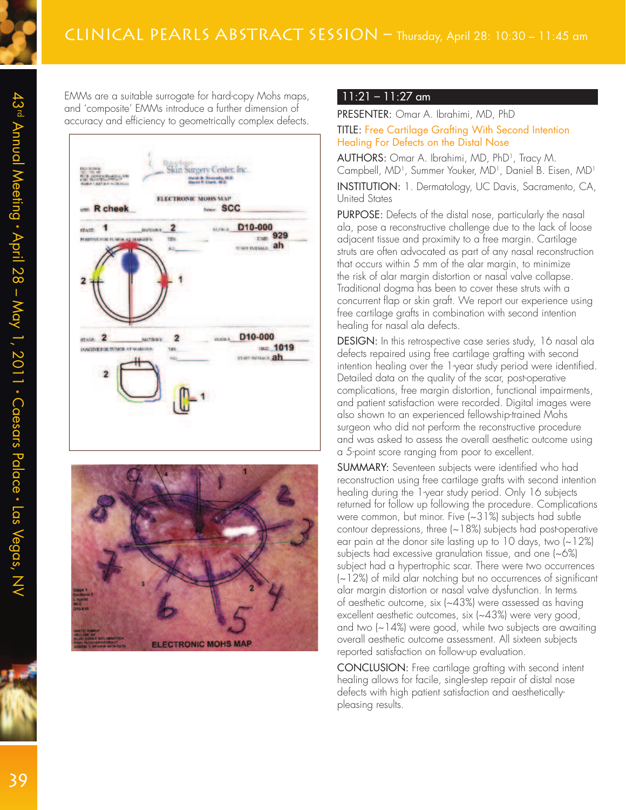EMMs are a suitable surrogate for hard-copy Mohs maps, and 'composite' EMMs introduce a further dimension of accuracy and efficiency to geometrically complex defects.





#### 11:21 – 11:27 am

PRESENTER: Omar A. Ibrahimi, MD, PhD TITLE: Free Cartilage Grafting With Second Intention Healing For Defects on the Distal Nose

**AUTHORS:** Omar A. Ibrahimi, MD, PhD<sup>1</sup>, Tracy M. Campbell, MD<sup>1</sup>, Summer Youker, MD<sup>1</sup>, Daniel B. Eisen, MD<sup>1</sup>

INSTITUTION: 1. Dermatology, UC Davis, Sacramento, CA, United States

PURPOSE: Defects of the distal nose, particularly the nasal ala, pose a reconstructive challenge due to the lack of loose adjacent tissue and proximity to a free margin. Cartilage struts are often advocated as part of any nasal reconstruction that occurs within 5 mm of the alar margin, to minimize the risk of alar margin distortion or nasal valve collapse. Traditional dogma has been to cover these struts with a concurrent flap or skin graft. We report our experience using free cartilage grafts in combination with second intention healing for nasal ala defects.

DESIGN: In this retrospective case series study, 16 nasal ala defects repaired using free cartilage grafting with second intention healing over the 1-year study period were identified. Detailed data on the quality of the scar, post-operative complications, free margin distortion, functional impairments, and patient satisfaction were recorded. Digital images were also shown to an experienced fellowship-trained Mohs surgeon who did not perform the reconstructive procedure and was asked to assess the overall aesthetic outcome using a 5-point score ranging from poor to excellent.

SUMMARY: Seventeen subjects were identified who had reconstruction using free cartilage grafts with second intention healing during the 1-year study period. Only 16 subjects returned for follow up following the procedure. Complications were common, but minor. Five (~31%) subjects had subtle contour depressions, three (~18%) subjects had post-operative ear pain at the donor site lasting up to  $10$  days, two  $(-12%)$ subjects had excessive granulation tissue, and one (~6%) subject had a hypertrophic scar. There were two occurrences (~12%) of mild alar notching but no occurrences of significant alar margin distortion or nasal valve dysfunction. In terms of aesthetic outcome, six (~43%) were assessed as having excellent aesthetic outcomes, six (~43%) were very good, and two (~14%) were good, while two subjects are awaiting overall aesthetic outcome assessment. All sixteen subjects reported satisfaction on follow-up evaluation.

CONCLUSION: Free cartilage grafting with second intent healing allows for facile, single-step repair of distal nose defects with high patient satisfaction and aestheticallypleasing results.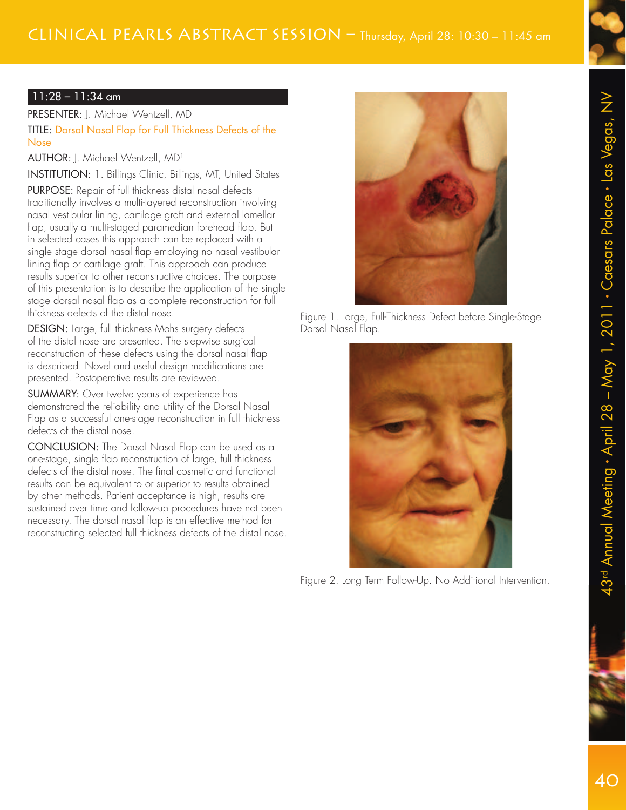# Clinical Pearls Abstract Session – Thursday, April 28: 10:30 – 11:45 am



## 11:28 – 11:34 am

PRESENTER: J. Michael Wentzell, MD TITLE: Dorsal Nasal Flap for Full Thickness Defects of the Nose

AUTHOR: J. Michael Wentzell, MD<sup>1</sup>

INSTITUTION: 1. Billings Clinic, Billings, MT, United States

PURPOSE: Repair of full thickness distal nasal defects traditionally involves a multi-layered reconstruction involving nasal vestibular lining, cartilage graft and external lamellar flap, usually a multi-staged paramedian forehead flap. But in selected cases this approach can be replaced with a single stage dorsal nasal flap employing no nasal vestibular lining flap or cartilage graft. This approach can produce results superior to other reconstructive choices. The purpose of this presentation is to describe the application of the single stage dorsal nasal flap as a complete reconstruction for full thickness defects of the distal nose.

DESIGN: Large, full thickness Mohs surgery defects of the distal nose are presented. The stepwise surgical reconstruction of these defects using the dorsal nasal flap is described. Novel and useful design modifications are presented. Postoperative results are reviewed.

SUMMARY: Over twelve years of experience has demonstrated the reliability and utility of the Dorsal Nasal Flap as a successful one-stage reconstruction in full thickness defects of the distal nose.

CONCLUSION: The Dorsal Nasal Flap can be used as a one-stage, single flap reconstruction of large, full thickness defects of the distal nose. The final cosmetic and functional results can be equivalent to or superior to results obtained by other methods. Patient acceptance is high, results are sustained over time and follow-up procedures have not been necessary. The dorsal nasal flap is an effective method for reconstructing selected full thickness defects of the distal nose.



Figure 1. Large, Full-Thickness Defect before Single-Stage Dorsal Nasal Flap.



Figure 2. Long Term Follow-Up. No Additional Intervention.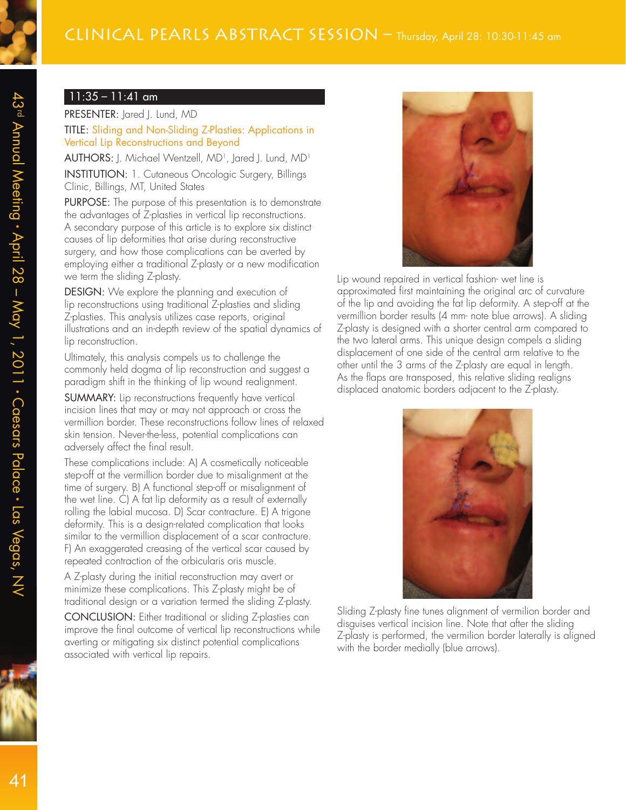#### 11:35 – 11:41 am

PRESENTER: Jared J. Lund, MD TITLE: Sliding and Non-Sliding Z-Plasties: Applications in Vertical Lip Reconstructions and Beyond

 $\mathsf{AUTHORS}\colon\mathsf{J}.$  Michael Wentzell, MD<sup>1</sup>, Jared J. Lund, MD<sup>1</sup> INSTITUTION: 1. Cutaneous Oncologic Surgery, Billings Clinic, Billings, MT, United States

PURPOSE: The purpose of this presentation is to demonstrate the advantages of Z-plasties in vertical lip reconstructions. A secondary purpose of this article is to explore six distinct causes of lip deformities that arise during reconstructive surgery, and how those complications can be averted by employing either a traditional Z-plasty or a new modification we term the sliding Z-plasty.

DESIGN: We explore the planning and execution of lip reconstructions using traditional Z-plasties and sliding Z-plasties. This analysis utilizes case reports, original illustrations and an in-depth review of the spatial dynamics of lip reconstruction.

Ultimately, this analysis compels us to challenge the commonly held dogma of lip reconstruction and suggest a paradigm shift in the thinking of lip wound realignment.

SUMMARY: Lip reconstructions frequently have vertical incision lines that may or may not approach or cross the vermillion border. These reconstructions follow lines of relaxed skin tension. Never-the-less, potential complications can adversely affect the final result.

These complications include: A) A cosmetically noticeable step-off at the vermillion border due to misalignment at the time of surgery. B) A functional step-off or misalignment of the wet line. C) A fat lip deformity as a result of externally rolling the labial mucosa. D) Scar contracture. E) A trigone deformity. This is a design-related complication that looks similar to the vermillion displacement of a scar contracture. F) An exaggerated creasing of the vertical scar caused by repeated contraction of the orbicularis oris muscle.

A Z-plasty during the initial reconstruction may avert or minimize these complications. This Z-plasty might be of traditional design or a variation termed the sliding Z-plasty.

CONCLUSION: Either traditional or sliding Z-plasties can improve the final outcome of vertical lip reconstructions while averting or mitigating six distinct potential complications associated with vertical lip repairs.



Lip wound repaired in vertical fashion- wet line is approximated first maintaining the original arc of curvature of the lip and avoiding the fat lip deformity. A step-off at the vermillion border results (4 mm- note blue arrows). A sliding Z-plasty is designed with a shorter central arm compared to the two lateral arms. This unique design compels a sliding displacement of one side of the central arm relative to the other until the 3 arms of the Z-plasty are equal in length. As the flaps are transposed, this relative sliding realigns displaced anatomic borders adjacent to the Z-plasty.



Sliding Z-plasty fine tunes alignment of vermilion border and disguises vertical incision line. Note that after the sliding Z-plasty is performed, the vermilion border laterally is aligned with the border medially (blue arrows).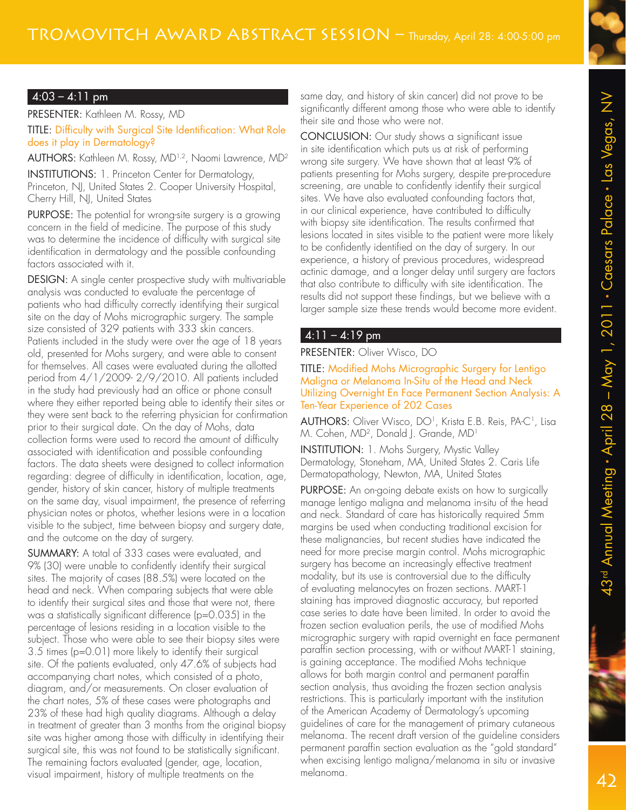# $4:03 - 4:11$  pm

PRESENTER: Kathleen M. Rossy, MD TITLE: Difficulty with Surgical Site Identification: What Role does it play in Dermatology?

AUTHORS: Kathleen M. Rossy, MD<sup>1,2</sup>, Naomi Lawrence, MD<sup>2</sup>

INSTITUTIONS: 1. Princeton Center for Dermatology, Princeton, NJ, United States 2. Cooper University Hospital, Cherry Hill, NJ, United States

PURPOSE: The potential for wrong-site surgery is a growing concern in the field of medicine. The purpose of this study was to determine the incidence of difficulty with surgical site identification in dermatology and the possible confounding factors associated with it.

DESIGN: A single center prospective study with multivariable analysis was conducted to evaluate the percentage of patients who had difficulty correctly identifying their surgical site on the day of Mohs micrographic surgery. The sample size consisted of 329 patients with 333 skin cancers. Patients included in the study were over the age of 18 years old, presented for Mohs surgery, and were able to consent for themselves. All cases were evaluated during the allotted period from 4/1/2009- 2/9/2010. All patients included in the study had previously had an office or phone consult where they either reported being able to identify their sites or they were sent back to the referring physician for confirmation prior to their surgical date. On the day of Mohs, data collection forms were used to record the amount of difficulty associated with identification and possible confounding factors. The data sheets were designed to collect information regarding: degree of difficulty in identification, location, age, gender, history of skin cancer, history of multiple treatments on the same day, visual impairment, the presence of referring physician notes or photos, whether lesions were in a location visible to the subject, time between biopsy and surgery date, and the outcome on the day of surgery.

SUMMARY: A total of 333 cases were evaluated, and 9% (30) were unable to confidently identify their surgical sites. The majority of cases (88.5%) were located on the head and neck. When comparing subjects that were able to identify their surgical sites and those that were not, there was a statistically significant difference (p=0.035) in the percentage of lesions residing in a location visible to the subject. Those who were able to see their biopsy sites were 3.5 times (p=0.01) more likely to identify their surgical site. Of the patients evaluated, only 47.6% of subjects had accompanying chart notes, which consisted of a photo, diagram, and/or measurements. On closer evaluation of the chart notes, 5% of these cases were photographs and 23% of these had high quality diagrams. Although a delay in treatment of greater than 3 months from the original biopsy site was higher among those with difficulty in identifying their surgical site, this was not found to be statistically significant. The remaining factors evaluated (gender, age, location, visual impairment, history of multiple treatments on the

same day, and history of skin cancer) did not prove to be significantly different among those who were able to identify their site and those who were not.

CONCLUSION: Our study shows a significant issue in site identification which puts us at risk of performing wrong site surgery. We have shown that at least 9% of patients presenting for Mohs surgery, despite pre-procedure screening, are unable to confidently identify their surgical sites. We have also evaluated confounding factors that, in our clinical experience, have contributed to difficulty with biopsy site identification. The results confirmed that lesions located in sites visible to the patient were more likely to be confidently identified on the day of surgery. In our experience, a history of previous procedures, widespread actinic damage, and a longer delay until surgery are factors that also contribute to difficulty with site identification. The results did not support these findings, but we believe with a larger sample size these trends would become more evident.

## $4:11 - 4:19$  pm

### PRESENTER: Oliver Wisco, DO

#### TITLE: Modified Mohs Micrographic Surgery for Lentigo Maligna or Melanoma In-Situ of the Head and Neck Utilizing Overnight En Face Permanent Section Analysis: A Ten-Year Experience of 202 Cases

AUTHORS: Oliver Wisco, DO<sup>1</sup>, Krista E.B. Reis, PA-C<sup>1</sup>, Lisa M. Cohen, MD<sup>2</sup> , Donald J. Grande, MD<sup>1</sup>

INSTITUTION: 1. Mohs Surgery, Mystic Valley Dermatology, Stoneham, MA, United States 2. Caris Life Dermatopathology, Newton, MA, United States

PURPOSE: An on-going debate exists on how to surgically manage lentigo maligna and melanoma in-situ of the head and neck. Standard of care has historically required 5mm margins be used when conducting traditional excision for these malignancies, but recent studies have indicated the need for more precise margin control. Mohs micrographic surgery has become an increasingly effective treatment modality, but its use is controversial due to the difficulty of evaluating melanocytes on frozen sections. MART-1 staining has improved diagnostic accuracy, but reported case series to date have been limited. In order to avoid the frozen section evaluation perils, the use of modified Mohs micrographic surgery with rapid overnight en face permanent paraffin section processing, with or without MART-1 staining, is gaining acceptance. The modified Mohs technique allows for both margin control and permanent paraffin section analysis, thus avoiding the frozen section analysis restrictions. This is particularly important with the institution of the American Academy of Dermatology's upcoming guidelines of care for the management of primary cutaneous melanoma. The recent draft version of the guideline considers permanent paraffin section evaluation as the "gold standard" when excising lentigo maligna/melanoma in situ or invasive melanoma.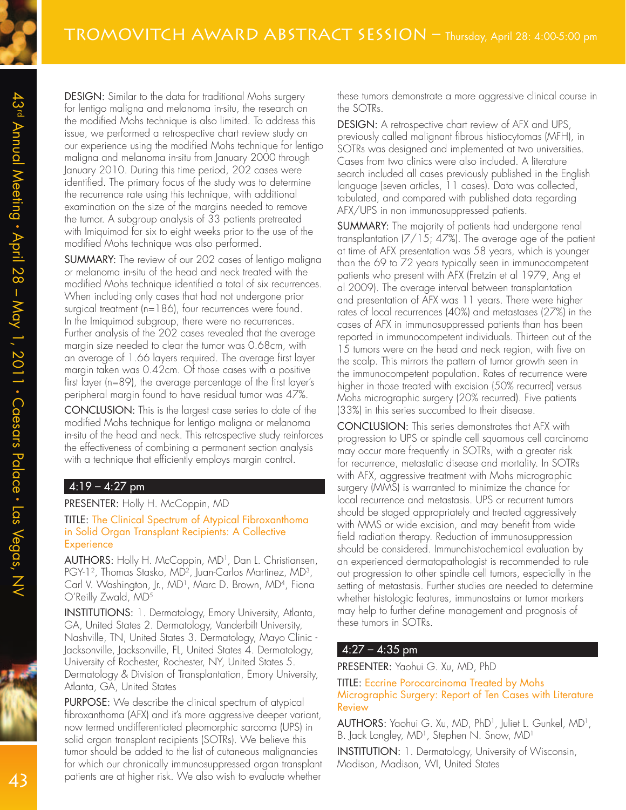DESIGN: Similar to the data for traditional Mohs surgery for lentigo maligna and melanoma in-situ, the research on the modified Mohs technique is also limited. To address this issue, we performed a retrospective chart review study on our experience using the modified Mohs technique for lentigo maligna and melanoma in-situ from January 2000 through January 2010. During this time period, 202 cases were identified. The primary focus of the study was to determine the recurrence rate using this technique, with additional examination on the size of the margins needed to remove the tumor. A subgroup analysis of 33 patients pretreated with Imiquimod for six to eight weeks prior to the use of the modified Mohs technique was also performed.

SUMMARY: The review of our 202 cases of lentigo maligna or melanoma in-situ of the head and neck treated with the modified Mohs technique identified a total of six recurrences. When including only cases that had not undergone prior surgical treatment (n=186), four recurrences were found. In the Imiquimod subgroup, there were no recurrences. Further analysis of the 202 cases revealed that the average margin size needed to clear the tumor was 0.68cm, with an average of 1.66 layers required. The average first layer margin taken was 0.42cm. Of those cases with a positive first layer (n=89), the average percentage of the first layer's peripheral margin found to have residual tumor was 47%.

CONCLUSION: This is the largest case series to date of the modified Mohs technique for lentigo maligna or melanoma in-situ of the head and neck. This retrospective study reinforces the effectiveness of combining a permanent section analysis with a technique that efficiently employs margin control.

### $4:19 - 4:27$  pm

#### PRESENTER: Holly H. McCoppin, MD

TITLE: The Clinical Spectrum of Atypical Fibroxanthoma in Solid Organ Transplant Recipients: A Collective **Experience** 

AUTHORS: Holly H. McCoppin, MD<sup>1</sup> , Dan L. Christiansen, PGY-1<sup>2</sup> , Thomas Stasko, MD<sup>2</sup> , Juan-Carlos Martinez, MD<sup>3</sup> , Carl V. Washington, Jr., MD<sup>1</sup>, Marc D. Brown, MD<sup>4</sup>, Fiona O'Reilly Zwald, MD<sup>5</sup>

INSTITUTIONS: 1. Dermatology, Emory University, Atlanta, GA, United States 2. Dermatology, Vanderbilt University, Nashville, TN, United States 3. Dermatology, Mayo Clinic - Jacksonville, Jacksonville, FL, United States 4. Dermatology, University of Rochester, Rochester, NY, United States 5. Dermatology & Division of Transplantation, Emory University, Atlanta, GA, United States

PURPOSE: We describe the clinical spectrum of atypical fibroxanthoma (AFX) and it's more aggressive deeper variant, now termed undifferentiated pleomorphic sarcoma (UPS) in solid organ transplant recipients (SOTRs). We believe this tumor should be added to the list of cutaneous malignancies for which our chronically immunosuppressed organ transplant patients are at higher risk. We also wish to evaluate whether

these tumors demonstrate a more aggressive clinical course in the SOTRs.

DESIGN: A retrospective chart review of AFX and UPS, previously called malignant fibrous histiocytomas (MFH), in SOTRs was designed and implemented at two universities. Cases from two clinics were also included. A literature search included all cases previously published in the English language (seven articles, 11 cases). Data was collected, tabulated, and compared with published data regarding AFX/UPS in non immunosuppressed patients.

SUMMARY: The majority of patients had undergone renal transplantation (7/15; 47%). The average age of the patient at time of AFX presentation was 58 years, which is younger than the 69 to 72 years typically seen in immunocompetent patients who present with AFX (Fretzin et al 1979, Ang et al 2009). The average interval between transplantation and presentation of AFX was 11 years. There were higher rates of local recurrences (40%) and metastases (27%) in the cases of AFX in immunosuppressed patients than has been reported in immunocompetent individuals. Thirteen out of the 15 tumors were on the head and neck region, with five on the scalp. This mirrors the pattern of tumor growth seen in the immunocompetent population. Rates of recurrence were higher in those treated with excision (50% recurred) versus Mohs micrographic surgery (20% recurred). Five patients (33%) in this series succumbed to their disease.

CONCLUSION: This series demonstrates that AFX with progression to UPS or spindle cell squamous cell carcinoma may occur more frequently in SOTRs, with a greater risk for recurrence, metastatic disease and mortality. In SOTRs with AFX, aggressive treatment with Mohs micrographic surgery (MMS) is warranted to minimize the chance for local recurrence and metastasis. UPS or recurrent tumors should be staged appropriately and treated aggressively with MMS or wide excision, and may benefit from wide field radiation therapy. Reduction of immunosuppression should be considered. Immunohistochemical evaluation by an experienced dermatopathologist is recommended to rule out progression to other spindle cell tumors, especially in the setting of metastasis. Further studies are needed to determine whether histologic features, immunostains or tumor markers may help to further define management and prognosis of these tumors in SOTRs.

#### 4:27 – 4:35 pm

PRESENTER: Yaohui G. Xu, MD, PhD

TITLE: Eccrine Porocarcinoma Treated by Mohs Micrographic Surgery: Report of Ten Cases with Literature Review

AUTHORS: Yaohui G. Xu, MD, PhD<sup>1</sup> , Juliet L. Gunkel, MD<sup>1</sup> , B. Jack Longley, MD<sup>1</sup>, Stephen N. Snow, MD<sup>1</sup>

INSTITUTION: 1. Dermatology, University of Wisconsin, Madison, Madison, WI, United States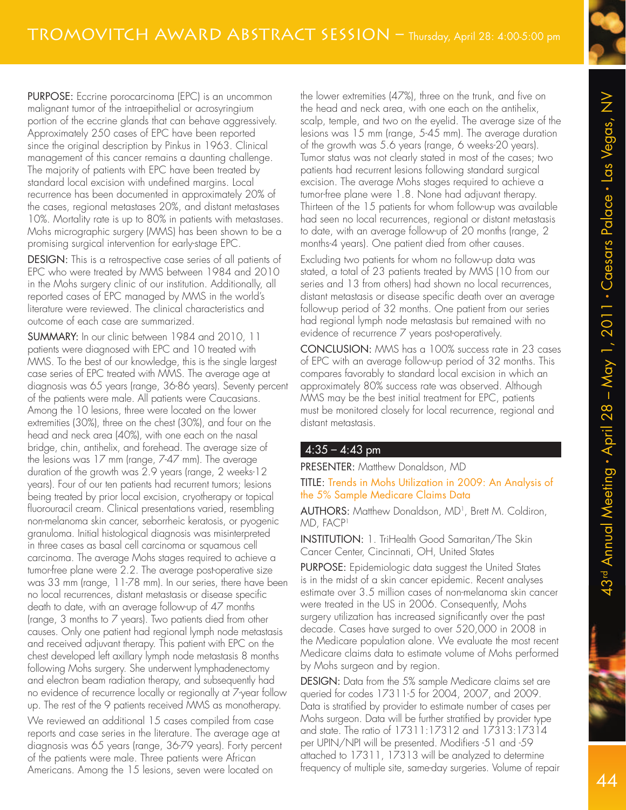PURPOSE: Eccrine porocarcinoma (EPC) is an uncommon malignant tumor of the intraepithelial or acrosyringium portion of the eccrine glands that can behave aggressively. Approximately 250 cases of EPC have been reported since the original description by Pinkus in 1963. Clinical management of this cancer remains a daunting challenge. The majority of patients with EPC have been treated by standard local excision with undefined margins. Local recurrence has been documented in approximately 20% of the cases, regional metastases 20%, and distant metastases 10%. Mortality rate is up to 80% in patients with metastases. Mohs micrographic surgery (MMS) has been shown to be a promising surgical intervention for early-stage EPC.

DESIGN: This is a retrospective case series of all patients of EPC who were treated by MMS between 1984 and 2010 in the Mohs surgery clinic of our institution. Additionally, all reported cases of EPC managed by MMS in the world's literature were reviewed. The clinical characteristics and outcome of each case are summarized.

SUMMARY: In our clinic between 1984 and 2010, 11 patients were diagnosed with EPC and 10 treated with MMS. To the best of our knowledge, this is the single largest case series of EPC treated with MMS. The average age at diagnosis was 65 years (range, 36-86 years). Seventy percent of the patients were male. All patients were Caucasians. Among the 10 lesions, three were located on the lower extremities (30%), three on the chest (30%), and four on the head and neck area (40%), with one each on the nasal bridge, chin, antihelix, and forehead. The average size of the lesions was 17 mm (range, 7-47 mm). The average duration of the growth was 2.9 years (range, 2 weeks-12 years). Four of our ten patients had recurrent tumors; lesions being treated by prior local excision, cryotherapy or topical fluorouracil cream. Clinical presentations varied, resembling non-melanoma skin cancer, seborrheic keratosis, or pyogenic granuloma. Initial histological diagnosis was misinterpreted in three cases as basal cell carcinoma or squamous cell carcinoma. The average Mohs stages required to achieve a tumor-free plane were 2.2. The average post-operative size was 33 mm (range, 11-78 mm). In our series, there have been no local recurrences, distant metastasis or disease specific death to date, with an average follow-up of 47 months (range, 3 months to 7 years). Two patients died from other causes. Only one patient had regional lymph node metastasis and received adjuvant therapy. This patient with EPC on the chest developed left axillary lymph node metastasis 8 months following Mohs surgery. She underwent lymphadenectomy and electron beam radiation therapy, and subsequently had no evidence of recurrence locally or regionally at 7-year follow up. The rest of the 9 patients received MMS as monotherapy.

We reviewed an additional 15 cases compiled from case reports and case series in the literature. The average age at diagnosis was 65 years (range, 36-79 years). Forty percent of the patients were male. Three patients were African Americans. Among the 15 lesions, seven were located on

the lower extremities (47%), three on the trunk, and five on the head and neck area, with one each on the antihelix, scalp, temple, and two on the eyelid. The average size of the lesions was 15 mm (range, 5-45 mm). The average duration of the growth was 5.6 years (range, 6 weeks-20 years). Tumor status was not clearly stated in most of the cases; two patients had recurrent lesions following standard surgical excision. The average Mohs stages required to achieve a tumor-free plane were 1.8. None had adjuvant therapy. Thirteen of the 15 patients for whom follow-up was available had seen no local recurrences, regional or distant metastasis to date, with an average follow-up of 20 months (range, 2 months-4 years). One patient died from other causes.

Excluding two patients for whom no follow-up data was stated, a total of 23 patients treated by MMS (10 from our series and 13 from others) had shown no local recurrences, distant metastasis or disease specific death over an average follow-up period of 32 months. One patient from our series had regional lymph node metastasis but remained with no evidence of recurrence 7 years post-operatively.

CONCLUSION: MMS has a 100% success rate in 23 cases of EPC with an average follow-up period of 32 months. This compares favorably to standard local excision in which an approximately 80% success rate was observed. Although MMS may be the best initial treatment for EPC, patients must be monitored closely for local recurrence, regional and distant metastasis.

#### $4:35 - 4:43$  pm

PRESENTER: Matthew Donaldson, MD

#### TITLE: Trends in Mohs Utilization in 2009: An Analysis of the 5% Sample Medicare Claims Data

AUTHORS: Matthew Donaldson, MD<sup>1</sup> , Brett M. Coldiron, MD, FACP<sup>1</sup>

INSTITUTION: 1. TriHealth Good Samaritan/The Skin Cancer Center, Cincinnati, OH, United States

PURPOSE: Epidemiologic data suggest the United States is in the midst of a skin cancer epidemic. Recent analyses estimate over 3.5 million cases of non-melanoma skin cancer were treated in the US in 2006. Consequently, Mohs surgery utilization has increased significantly over the past decade. Cases have surged to over 520,000 in 2008 in the Medicare population alone. We evaluate the most recent Medicare claims data to estimate volume of Mohs performed by Mohs surgeon and by region.

DESIGN: Data from the 5% sample Medicare claims set are queried for codes 17311-5 for 2004, 2007, and 2009. Data is stratified by provider to estimate number of cases per Mohs surgeon. Data will be further stratified by provider type and state. The ratio of 17311:17312 and 17313:17314 per UPIN/NPI will be presented. Modifiers -51 and -59 attached to 17311, 17313 will be analyzed to determine frequency of multiple site, same-day surgeries. Volume of repair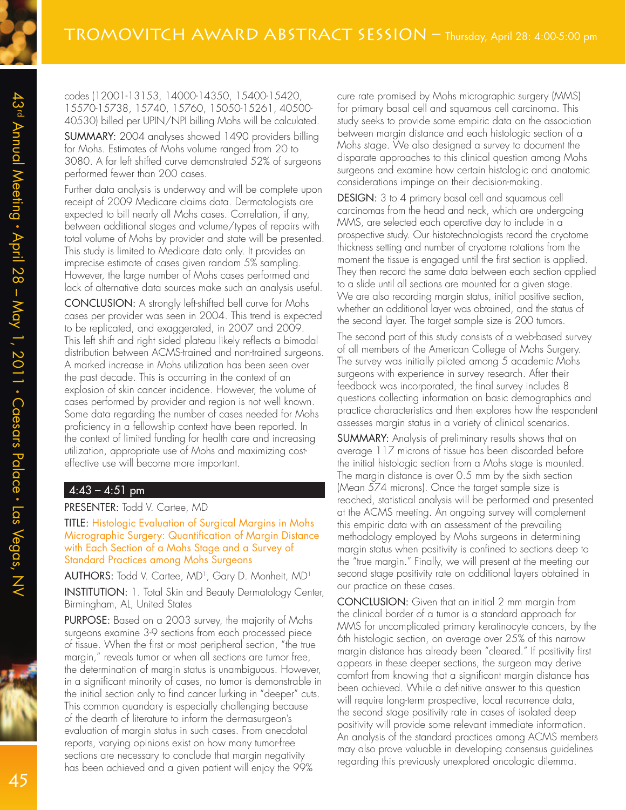codes (12001-13153, 14000-14350, 15400-15420, 15570-15738, 15740, 15760, 15050-15261, 40500- 40530) billed per UPIN/NPI billing Mohs will be calculated.

SUMMARY: 2004 analyses showed 1490 providers billing for Mohs. Estimates of Mohs volume ranged from 20 to 3080. A far left shifted curve demonstrated 52% of surgeons performed fewer than 200 cases.

Further data analysis is underway and will be complete upon receipt of 2009 Medicare claims data. Dermatologists are expected to bill nearly all Mohs cases. Correlation, if any, between additional stages and volume/types of repairs with total volume of Mohs by provider and state will be presented. This study is limited to Medicare data only. It provides an imprecise estimate of cases given random 5% sampling. However, the large number of Mohs cases performed and lack of alternative data sources make such an analysis useful.

CONCLUSION: A strongly left-shifted bell curve for Mohs cases per provider was seen in 2004. This trend is expected to be replicated, and exaggerated, in 2007 and 2009. This left shift and right sided plateau likely reflects a bimodal distribution between ACMS-trained and non-trained surgeons. A marked increase in Mohs utilization has been seen over the past decade. This is occurring in the context of an explosion of skin cancer incidence. However, the volume of cases performed by provider and region is not well known. Some data regarding the number of cases needed for Mohs proficiency in a fellowship context have been reported. In the context of limited funding for health care and increasing utilization, appropriate use of Mohs and maximizing costeffective use will become more important.

### $4:43 - 4:51$  pm

#### PRESENTER: Todd V. Cartee, MD

TITLE: Histologic Evaluation of Surgical Margins in Mohs Micrographic Surgery: Quantification of Margin Distance with Each Section of a Mohs Stage and a Survey of Standard Practices among Mohs Surgeons

**AUTHORS:** Todd V. Cartee, MD<sup>1</sup>, Gary D. Monheit, MD<sup>1</sup>

INSTITUTION: 1. Total Skin and Beauty Dermatology Center, Birmingham, AL, United States

PURPOSE: Based on a 2003 survey, the majority of Mohs surgeons examine 3-9 sections from each processed piece of tissue. When the first or most peripheral section, "the true margin," reveals tumor or when all sections are tumor free, the determination of margin status is unambiguous. However, in a significant minority of cases, no tumor is demonstrable in the initial section only to find cancer lurking in "deeper" cuts. This common quandary is especially challenging because of the dearth of literature to inform the dermasurgeon's evaluation of margin status in such cases. From anecdotal reports, varying opinions exist on how many tumor-free sections are necessary to conclude that margin negativity has been achieved and a given patient will enjoy the 99%

cure rate promised by Mohs micrographic surgery (MMS) for primary basal cell and squamous cell carcinoma. This study seeks to provide some empiric data on the association between margin distance and each histologic section of a Mohs stage. We also designed a survey to document the disparate approaches to this clinical question among Mohs surgeons and examine how certain histologic and anatomic considerations impinge on their decision-making.

DESIGN: 3 to 4 primary basal cell and squamous cell carcinomas from the head and neck, which are undergoing MMS, are selected each operative day to include in a prospective study. Our histotechnologists record the cryotome thickness setting and number of cryotome rotations from the moment the tissue is engaged until the first section is applied. They then record the same data between each section applied to a slide until all sections are mounted for a given stage. We are also recording margin status, initial positive section, whether an additional layer was obtained, and the status of the second layer. The target sample size is 200 tumors.

The second part of this study consists of a web-based survey of all members of the American College of Mohs Surgery. The survey was initially piloted among 5 academic Mohs surgeons with experience in survey research. After their feedback was incorporated, the final survey includes 8 questions collecting information on basic demographics and practice characteristics and then explores how the respondent assesses margin status in a variety of clinical scenarios.

SUMMARY: Analysis of preliminary results shows that on average 117 microns of tissue has been discarded before the initial histologic section from a Mohs stage is mounted. The margin distance is over 0.5 mm by the sixth section (Mean 574 microns). Once the target sample size is reached, statistical analysis will be performed and presented at the ACMS meeting. An ongoing survey will complement this empiric data with an assessment of the prevailing methodology employed by Mohs surgeons in determining margin status when positivity is confined to sections deep to the "true margin." Finally, we will present at the meeting our second stage positivity rate on additional layers obtained in our practice on these cases.

CONCLUSION: Given that an initial 2 mm margin from the clinical border of a tumor is a standard approach for MMS for uncomplicated primary keratinocyte cancers, by the 6th histologic section, on average over 25% of this narrow margin distance has already been "cleared." If positivity first appears in these deeper sections, the surgeon may derive comfort from knowing that a significant margin distance has been achieved. While a definitive answer to this question will require long-term prospective, local recurrence data, the second stage positivity rate in cases of isolated deep positivity will provide some relevant immediate information. An analysis of the standard practices among ACMS members may also prove valuable in developing consensus guidelines regarding this previously unexplored oncologic dilemma.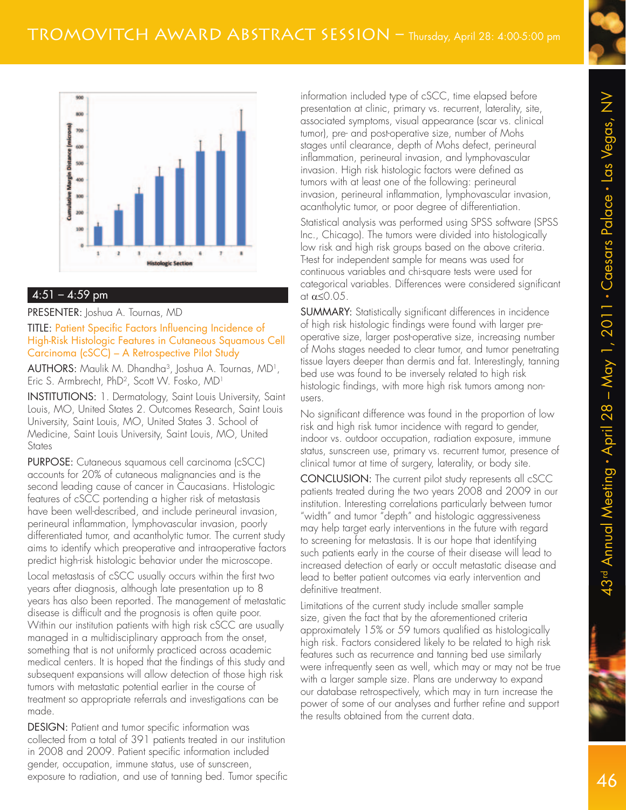

#### $4:51 - 4:59$  pm

#### PRESENTER: Joshua A. Tournas, MD

#### TITLE: Patient Specific Factors Influencing Incidence of High-Risk Histologic Features in Cutaneous Squamous Cell Carcinoma (cSCC) – A Retrospective Pilot Study

AUTHORS: Maulik M. Dhandha<sup>3</sup> , Joshua A. Tournas, MD<sup>1</sup> , Eric S. Armbrecht, PhD<sup>2</sup>, Scott W. Fosko, MD<sup>1</sup>

INSTITUTIONS: 1. Dermatology, Saint Louis University, Saint Louis, MO, United States 2. Outcomes Research, Saint Louis University, Saint Louis, MO, United States 3. School of Medicine, Saint Louis University, Saint Louis, MO, United **States** 

PURPOSE: Cutaneous squamous cell carcinoma (cSCC) accounts for 20% of cutaneous malignancies and is the second leading cause of cancer in Caucasians. Histologic features of cSCC portending a higher risk of metastasis have been well-described, and include perineural invasion, perineural inflammation, lymphovascular invasion, poorly differentiated tumor, and acantholytic tumor. The current study aims to identify which preoperative and intraoperative factors predict high-risk histologic behavior under the microscope.

Local metastasis of cSCC usually occurs within the first two years after diagnosis, although late presentation up to 8 years has also been reported. The management of metastatic disease is difficult and the prognosis is often quite poor. Within our institution patients with high risk cSCC are usually managed in a multidisciplinary approach from the onset, something that is not uniformly practiced across academic medical centers. It is hoped that the findings of this study and subsequent expansions will allow detection of those high risk tumors with metastatic potential earlier in the course of treatment so appropriate referrals and investigations can be made.

DESIGN: Patient and tumor specific information was collected from a total of 391 patients treated in our institution in 2008 and 2009. Patient specific information included gender, occupation, immune status, use of sunscreen, exposure to radiation, and use of tanning bed. Tumor specific information included type of cSCC, time elapsed before presentation at clinic, primary vs. recurrent, laterality, site, associated symptoms, visual appearance (scar vs. clinical tumor), pre- and post-operative size, number of Mohs stages until clearance, depth of Mohs defect, perineural inflammation, perineural invasion, and lymphovascular invasion. High risk histologic factors were defined as tumors with at least one of the following: perineural invasion, perineural inflammation, lymphovascular invasion, acantholytic tumor, or poor degree of differentiation.

Statistical analysis was performed using SPSS software (SPSS Inc., Chicago). The tumors were divided into histologically low risk and high risk groups based on the above criteria. T-test for independent sample for means was used for continuous variables and chi-square tests were used for categorical variables. Differences were considered significant at  $\alpha \leq 0.05$ .

SUMMARY: Statistically significant differences in incidence of high risk histologic findings were found with larger preoperative size, larger post-operative size, increasing number of Mohs stages needed to clear tumor, and tumor penetrating tissue layers deeper than dermis and fat. Interestingly, tanning bed use was found to be inversely related to high risk histologic findings, with more high risk tumors among nonusers.

No significant difference was found in the proportion of low risk and high risk tumor incidence with regard to gender, indoor vs. outdoor occupation, radiation exposure, immune status, sunscreen use, primary vs. recurrent tumor, presence of clinical tumor at time of surgery, laterality, or body site.

CONCLUSION: The current pilot study represents all cSCC patients treated during the two years 2008 and 2009 in our institution. Interesting correlations particularly between tumor "width" and tumor "depth" and histologic aggressiveness may help target early interventions in the future with regard to screening for metastasis. It is our hope that identifying such patients early in the course of their disease will lead to increased detection of early or occult metastatic disease and lead to better patient outcomes via early intervention and definitive treatment.

Limitations of the current study include smaller sample size, given the fact that by the aforementioned criteria approximately 15% or 59 tumors qualified as histologically high risk. Factors considered likely to be related to high risk features such as recurrence and tanning bed use similarly were infrequently seen as well, which may or may not be true with a larger sample size. Plans are underway to expand our database retrospectively, which may in turn increase the power of some of our analyses and further refine and support the results obtained from the current data.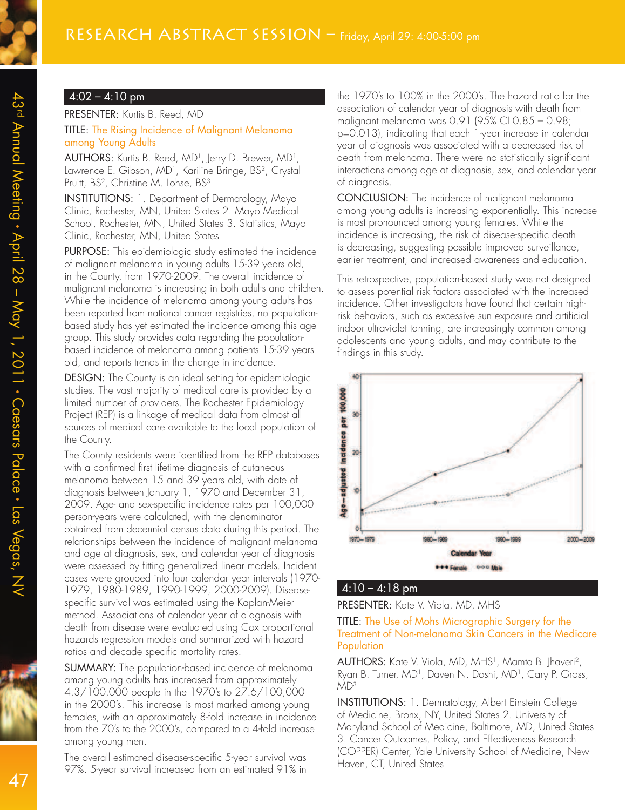#### $4:02 - 4:10 \text{ pm}$

#### PRESENTER: Kurtis B. Reed, MD

#### TITLE: The Rising Incidence of Malignant Melanoma among Young Adults

**AUTHORS:** Kurtis B. Reed, MD<sup>1</sup>, Jerry D. Brewer, MD<sup>1</sup>, Lawrence E. Gibson, MD<sup>1</sup>, Kariline Bringe, BS<sup>2</sup>, Crystal Pruitt, BS<sup>2</sup>, Christine M. Lohse, BS<sup>3</sup>

INSTITUTIONS: 1. Department of Dermatology, Mayo Clinic, Rochester, MN, United States 2. Mayo Medical School, Rochester, MN, United States 3. Statistics, Mayo Clinic, Rochester, MN, United States

PURPOSE: This epidemiologic study estimated the incidence of malignant melanoma in young adults 15-39 years old, in the County, from 1970-2009. The overall incidence of malignant melanoma is increasing in both adults and children. While the incidence of melanoma among young adults has been reported from national cancer registries, no populationbased study has yet estimated the incidence among this age group. This study provides data regarding the populationbased incidence of melanoma among patients 15-39 years old, and reports trends in the change in incidence.

DESIGN: The County is an ideal setting for epidemiologic studies. The vast majority of medical care is provided by a limited number of providers. The Rochester Epidemiology Project (REP) is a linkage of medical data from almost all sources of medical care available to the local population of the County.

The County residents were identified from the REP databases with a confirmed first lifetime diagnosis of cutaneous melanoma between 15 and 39 years old, with date of diagnosis between January 1, 1970 and December 31, 2009. Age- and sex-specific incidence rates per 100,000 person-years were calculated, with the denominator obtained from decennial census data during this period. The relationships between the incidence of malignant melanoma and age at diagnosis, sex, and calendar year of diagnosis were assessed by fitting generalized linear models. Incident cases were grouped into four calendar year intervals (1970- 1979, 1980-1989, 1990-1999, 2000-2009). Diseasespecific survival was estimated using the Kaplan-Meier method. Associations of calendar year of diagnosis with death from disease were evaluated using Cox proportional hazards regression models and summarized with hazard ratios and decade specific mortality rates.

SUMMARY: The population-based incidence of melanoma among young adults has increased from approximately 4.3/100,000 people in the 1970's to 27.6/100,000 in the 2000's. This increase is most marked among young females, with an approximately 8-fold increase in incidence from the 70's to the 2000's, compared to a 4-fold increase among young men.

The overall estimated disease-specific 5-year survival was 97%. 5-year survival increased from an estimated 91% in

the 1970's to 100% in the 2000's. The hazard ratio for the association of calendar year of diagnosis with death from malignant melanoma was 0.91 (95% CI 0.85 – 0.98; p=0.013), indicating that each 1-year increase in calendar year of diagnosis was associated with a decreased risk of death from melanoma. There were no statistically significant interactions among age at diagnosis, sex, and calendar year of diagnosis.

CONCLUSION: The incidence of malignant melanoma among young adults is increasing exponentially. This increase is most pronounced among young females. While the incidence is increasing, the risk of disease-specific death is decreasing, suggesting possible improved surveillance, earlier treatment, and increased awareness and education.

This retrospective, population-based study was not designed to assess potential risk factors associated with the increased incidence. Other investigators have found that certain highrisk behaviors, such as excessive sun exposure and artificial indoor ultraviolet tanning, are increasingly common among adolescents and young adults, and may contribute to the findings in this study.



### $4:10 - 4:18$  pm

PRESENTER: Kate V. Viola, MD, MHS

#### TITLE: The Use of Mohs Micrographic Surgery for the Treatment of Non-melanoma Skin Cancers in the Medicare Population

AUTHORS: Kate V. Viola, MD, MHS<sup>1</sup> , Mamta B. Jhaveri<sup>2</sup> , Ryan B. Turner, MD<sup>1</sup> , Daven N. Doshi, MD<sup>1</sup> , Cary P. Gross, MD<sup>3</sup>

INSTITUTIONS: 1. Dermatology, Albert Einstein College of Medicine, Bronx, NY, United States 2. University of Maryland School of Medicine, Baltimore, MD, United States 3. Cancer Outcomes, Policy, and Effectiveness Research (COPPER) Center, Yale University School of Medicine, New Haven, CT, United States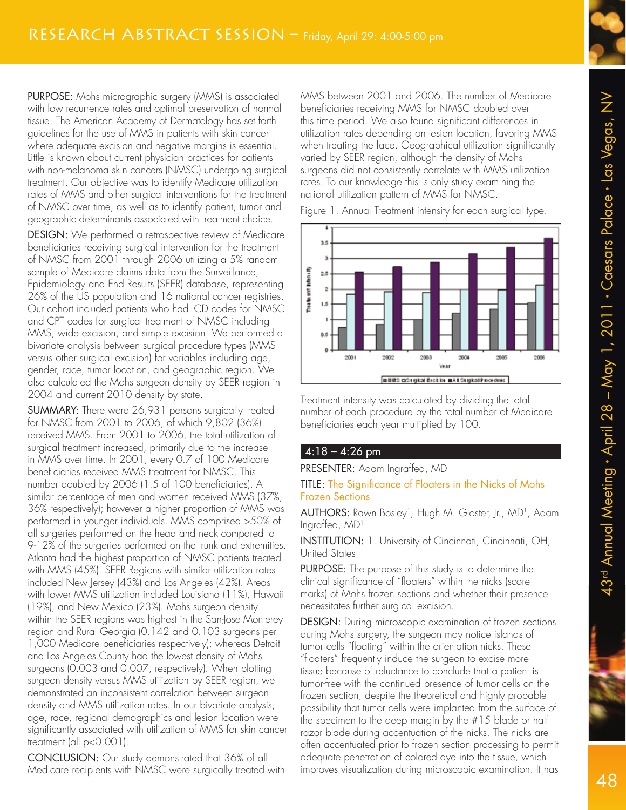PURPOSE: Mohs micrographic surgery (MMS) is associated with low recurrence rates and optimal preservation of normal tissue. The American Academy of Dermatology has set forth guidelines for the use of MMS in patients with skin cancer where adequate excision and negative margins is essential. Little is known about current physician practices for patients with non-melanoma skin cancers (NMSC) undergoing surgical treatment. Our objective was to identify Medicare utilization rates of MMS and other surgical interventions for the treatment of NMSC over time, as well as to identify patient, tumor and geographic determinants associated with treatment choice.

DESIGN: We performed a retrospective review of Medicare beneficiaries receiving surgical intervention for the treatment of NMSC from 2001 through 2006 utilizing a 5% random sample of Medicare claims data from the Surveillance, Epidemiology and End Results (SEER) database, representing 26% of the US population and 16 national cancer registries. Our cohort included patients who had ICD codes for NMSC and CPT codes for surgical treatment of NMSC including MMS, wide excision, and simple excision. We performed a bivariate analysis between surgical procedure types (MMS versus other surgical excision) for variables including age, gender, race, tumor location, and geographic region. We also calculated the Mohs surgeon density by SEER region in 2004 and current 2010 density by state.

SUMMARY: There were 26,931 persons surgically treated for NMSC from 2001 to 2006, of which 9,802 (36%) received MMS. From 2001 to 2006, the total utilization of surgical treatment increased, primarily due to the increase in MMS over time. In 2001, every 0.7 of 100 Medicare beneficiaries received MMS treatment for NMSC. This number doubled by 2006 (1.5 of 100 beneficiaries). A similar percentage of men and women received MMS (37%, 36% respectively); however a higher proportion of MMS was performed in younger individuals. MMS comprised >50% of all surgeries performed on the head and neck compared to 9-12% of the surgeries performed on the trunk and extremities. Atlanta had the highest proportion of NMSC patients treated with MMS (45%). SEER Regions with similar utilization rates included New Jersey (43%) and Los Angeles (42%). Areas with lower MMS utilization included Louisiana (11%), Hawaii (19%), and New Mexico (23%). Mohs surgeon density within the SEER regions was highest in the San-Jose Monterey region and Rural Georgia (0.142 and 0.103 surgeons per 1,000 Medicare beneficiaries respectively); whereas Detroit and Los Angeles County had the lowest density of Mohs surgeons (0.003 and 0.007, respectively). When plotting surgeon density versus MMS utilization by SEER region, we demonstrated an inconsistent correlation between surgeon density and MMS utilization rates. In our bivariate analysis, age, race, regional demographics and lesion location were significantly associated with utilization of MMS for skin cancer treatment (all p<0.001).

CONCLUSION: Our study demonstrated that 36% of all Medicare recipients with NMSC were surgically treated with MMS between 2001 and 2006. The number of Medicare beneficiaries receiving MMS for NMSC doubled over this time period. We also found significant differences in utilization rates depending on lesion location, favoring MMS when treating the face. Geographical utilization significantly varied by SEER region, although the density of Mohs surgeons did not consistently correlate with MMS utilization rates. To our knowledge this is only study examining the national utilization pattern of MMS for NMSC.

Figure 1. Annual Treatment intensity for each surgical type.



Treatment intensity was calculated by dividing the total number of each procedure by the total number of Medicare beneficiaries each year multiplied by 100.

### $4:18 - 4:26$  pm

PRESENTER: Adam Ingraffea, MD

#### TITLE: The Significance of Floaters in the Nicks of Mohs Frozen Sections

**AUTHORS:** Rawn Bosley<sup>1</sup>, Hugh M. Gloster, Jr., MD<sup>1</sup>, Adam Ingraffea, MD<sup>1</sup>

INSTITUTION: 1. University of Cincinnati, Cincinnati, OH, United States

PURPOSE: The purpose of this study is to determine the clinical significance of "floaters" within the nicks (score marks) of Mohs frozen sections and whether their presence necessitates further surgical excision.

DESIGN: During microscopic examination of frozen sections during Mohs surgery, the surgeon may notice islands of tumor cells "floating" within the orientation nicks. These "floaters" frequently induce the surgeon to excise more tissue because of reluctance to conclude that a patient is tumor-free with the continued presence of tumor cells on the frozen section, despite the theoretical and highly probable possibility that tumor cells were implanted from the surface of the specimen to the deep margin by the #15 blade or half razor blade during accentuation of the nicks. The nicks are often accentuated prior to frozen section processing to permit adequate penetration of colored dye into the tissue, which improves visualization during microscopic examination. It has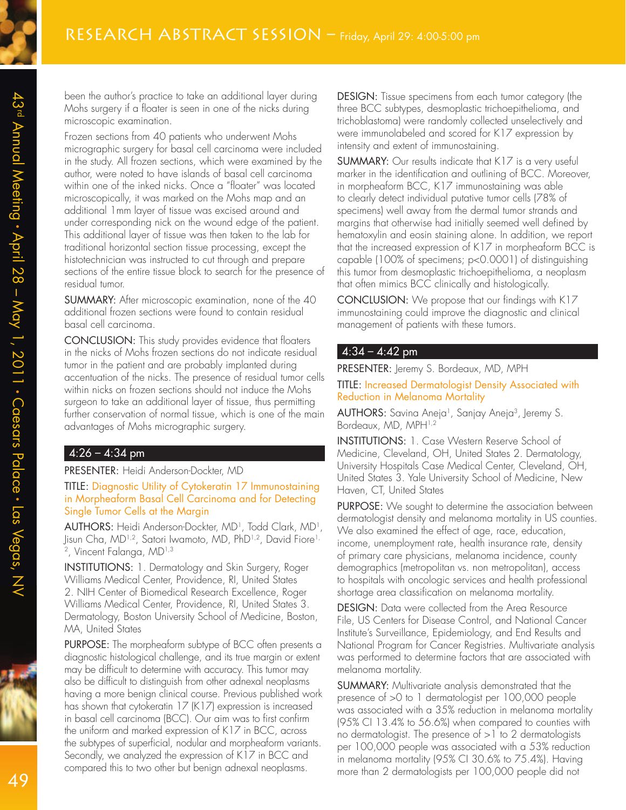been the author's practice to take an additional layer during Mohs surgery if a floater is seen in one of the nicks during microscopic examination.

Frozen sections from 40 patients who underwent Mohs micrographic surgery for basal cell carcinoma were included in the study. All frozen sections, which were examined by the author, were noted to have islands of basal cell carcinoma within one of the inked nicks. Once a "floater" was located microscopically, it was marked on the Mohs map and an additional 1mm layer of tissue was excised around and under corresponding nick on the wound edge of the patient. This additional layer of tissue was then taken to the lab for traditional horizontal section tissue processing, except the histotechnician was instructed to cut through and prepare sections of the entire tissue block to search for the presence of residual tumor.

SUMMARY: After microscopic examination, none of the 40 additional frozen sections were found to contain residual basal cell carcinoma.

CONCLUSION: This study provides evidence that floaters in the nicks of Mohs frozen sections do not indicate residual tumor in the patient and are probably implanted during accentuation of the nicks. The presence of residual tumor cells within nicks on frozen sections should not induce the Mohs surgeon to take an additional layer of tissue, thus permitting further conservation of normal tissue, which is one of the main advantages of Mohs micrographic surgery.

### $4:26 - 4:34$  pm

PRESENTER: Heidi Anderson-Dockter, MD

#### TITLE: Diagnostic Utility of Cytokeratin 17 Immunostaining in Morpheaform Basal Cell Carcinoma and for Detecting Single Tumor Cells at the Margin

AUTHORS: Heidi Anderson-Dockter, MD<sup>1</sup> , Todd Clark, MD<sup>1</sup> , Jisun Cha, MD<sup>1,2</sup>, Satori Iwamoto, MD, PhD<sup>1,2</sup>, David Fiore<sup>1,</sup> 2 , Vincent Falanga, MD1,3

INSTITUTIONS: 1. Dermatology and Skin Surgery, Roger Williams Medical Center, Providence, RI, United States 2. NIH Center of Biomedical Research Excellence, Roger Williams Medical Center, Providence, RI, United States 3. Dermatology, Boston University School of Medicine, Boston, MA, United States

PURPOSE: The morpheaform subtype of BCC often presents a diagnostic histological challenge, and its true margin or extent may be difficult to determine with accuracy. This tumor may also be difficult to distinguish from other adnexal neoplasms having a more benign clinical course. Previous published work has shown that cytokeratin 17 (K17) expression is increased in basal cell carcinoma (BCC). Our aim was to first confirm the uniform and marked expression of K17 in BCC, across the subtypes of superficial, nodular and morpheaform variants. Secondly, we analyzed the expression of K17 in BCC and compared this to two other but benign adnexal neoplasms.

DESIGN: Tissue specimens from each tumor category (the three BCC subtypes, desmoplastic trichoepithelioma, and trichoblastoma) were randomly collected unselectively and were immunolabeled and scored for K17 expression by intensity and extent of immunostaining.

**SUMMARY:** Our results indicate that K17 is a very useful marker in the identification and outlining of BCC. Moreover, in morpheaform BCC, K17 immunostaining was able to clearly detect individual putative tumor cells (78% of specimens) well away from the dermal tumor strands and margins that otherwise had initially seemed well defined by hematoxylin and eosin staining alone. In addition, we report that the increased expression of K17 in morpheaform BCC is capable (100% of specimens; p<0.0001) of distinguishing this tumor from desmoplastic trichoepithelioma, a neoplasm that often mimics BCC clinically and histologically.

CONCLUSION: We propose that our findings with K17 immunostaining could improve the diagnostic and clinical management of patients with these tumors.

#### $4:34 - 4:42$  pm

PRESENTER: Jeremy S. Bordeaux, MD, MPH

TITLE: Increased Dermatologist Density Associated with Reduction in Melanoma Mortality

**AUTHORS:** Savina Aneja<sup>1</sup>, Sanjay Aneja<sup>3</sup>, Jeremy S. Bordeaux, MD, MPH<sup>1,2</sup>

INSTITUTIONS: 1. Case Western Reserve School of Medicine, Cleveland, OH, United States 2. Dermatology, University Hospitals Case Medical Center, Cleveland, OH, United States 3. Yale University School of Medicine, New Haven, CT, United States

PURPOSE: We sought to determine the association between dermatologist density and melanoma mortality in US counties. We also examined the effect of age, race, education, income, unemployment rate, health insurance rate, density of primary care physicians, melanoma incidence, county demographics (metropolitan vs. non metropolitan), access to hospitals with oncologic services and health professional shortage area classification on melanoma mortality.

DESIGN: Data were collected from the Area Resource File, US Centers for Disease Control, and National Cancer Institute's Surveillance, Epidemiology, and End Results and National Program for Cancer Registries. Multivariate analysis was performed to determine factors that are associated with melanoma mortality.

SUMMARY: Multivariate analysis demonstrated that the presence of >0 to 1 dermatologist per 100,000 people was associated with a 35% reduction in melanoma mortality (95% CI 13.4% to 56.6%) when compared to counties with no dermatologist. The presence of  $>1$  to 2 dermatologists per 100,000 people was associated with a 53% reduction in melanoma mortality (95% CI 30.6% to 75.4%). Having more than 2 dermatologists per 100,000 people did not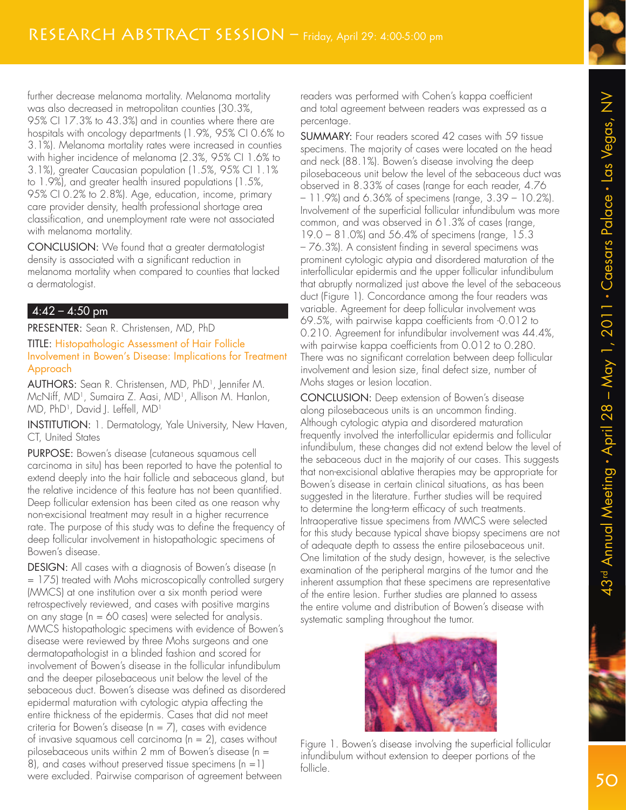further decrease melanoma mortality. Melanoma mortality was also decreased in metropolitan counties (30.3%, 95% CI 17.3% to 43.3%) and in counties where there are hospitals with oncology departments (1.9%, 95% CI 0.6% to 3.1%). Melanoma mortality rates were increased in counties with higher incidence of melanoma (2.3%, 95% CI 1.6% to 3.1%), greater Caucasian population (1.5%, 95% CI 1.1% to 1.9%), and greater health insured populations (1.5%, 95% CI 0.2% to 2.8%). Age, education, income, primary care provider density, health professional shortage area classification, and unemployment rate were not associated with melanoma mortality.

CONCLUSION: We found that a greater dermatologist density is associated with a significant reduction in melanoma mortality when compared to counties that lacked a dermatologist.

#### $4:42 - 4:50$  pm

PRESENTER: Sean R. Christensen, MD, PhD TITLE: Histopathologic Assessment of Hair Follicle Involvement in Bowen's Disease: Implications for Treatment Approach

AUTHORS: Sean R. Christensen, MD, PhD<sup>1</sup> , Jennifer M. McNiff, MD<sup>1</sup>, Sumaira Z. Aasi, MD<sup>1</sup>, Allison M. Hanlon, . MD, PhD<sup>1</sup> , David J. Leffell, MD<sup>1</sup>

INSTITUTION: 1. Dermatology, Yale University, New Haven, CT, United States

PURPOSE: Bowen's disease (cutaneous squamous cell carcinoma in situ) has been reported to have the potential to extend deeply into the hair follicle and sebaceous gland, but the relative incidence of this feature has not been quantified. Deep follicular extension has been cited as one reason why non-excisional treatment may result in a higher recurrence rate. The purpose of this study was to define the frequency of deep follicular involvement in histopathologic specimens of Bowen's disease.

DESIGN: All cases with a diagnosis of Bowen's disease (n = 175) treated with Mohs microscopically controlled surgery (MMCS) at one institution over a six month period were retrospectively reviewed, and cases with positive margins on any stage (n = 60 cases) were selected for analysis. MMCS histopathologic specimens with evidence of Bowen's disease were reviewed by three Mohs surgeons and one dermatopathologist in a blinded fashion and scored for involvement of Bowen's disease in the follicular infundibulum and the deeper pilosebaceous unit below the level of the sebaceous duct. Bowen's disease was defined as disordered epidermal maturation with cytologic atypia affecting the entire thickness of the epidermis. Cases that did not meet criteria for Bowen's disease  $(n = 7)$ , cases with evidence of invasive squamous cell carcinoma  $(n = 2)$ , cases without pilosebaceous units within 2 mm of Bowen's disease (n = 8), and cases without preserved tissue specimens  $(n = 1)$ were excluded. Pairwise comparison of agreement between

readers was performed with Cohen's kappa coefficient and total agreement between readers was expressed as a percentage.

SUMMARY: Four readers scored 42 cases with 59 tissue specimens. The majority of cases were located on the head and neck (88.1%). Bowen's disease involving the deep pilosebaceous unit below the level of the sebaceous duct was observed in 8.33% of cases (range for each reader, 4.76 – 11.9%) and 6.36% of specimens (range, 3.39 – 10.2%). Involvement of the superficial follicular infundibulum was more common, and was observed in 61.3% of cases (range, 19.0 – 81.0%) and 56.4% of specimens (range, 15.3 – 76.3%). A consistent finding in several specimens was prominent cytologic atypia and disordered maturation of the interfollicular epidermis and the upper follicular infundibulum that abruptly normalized just above the level of the sebaceous duct (Figure 1). Concordance among the four readers was variable. Agreement for deep follicular involvement was 69.5%, with pairwise kappa coefficients from -0.012 to 0.210. Agreement for infundibular involvement was 44.4%, with pairwise kappa coefficients from 0.012 to 0.280. There was no significant correlation between deep follicular involvement and lesion size, final defect size, number of Mohs stages or lesion location.

CONCLUSION: Deep extension of Bowen's disease along pilosebaceous units is an uncommon finding. Although cytologic atypia and disordered maturation frequently involved the interfollicular epidermis and follicular infundibulum, these changes did not extend below the level of the sebaceous duct in the majority of our cases. This suggests that non-excisional ablative therapies may be appropriate for Bowen's disease in certain clinical situations, as has been suggested in the literature. Further studies will be required to determine the long-term efficacy of such treatments. Intraoperative tissue specimens from MMCS were selected for this study because typical shave biopsy specimens are not of adequate depth to assess the entire pilosebaceous unit. One limitation of the study design, however, is the selective examination of the peripheral margins of the tumor and the inherent assumption that these specimens are representative of the entire lesion. Further studies are planned to assess the entire volume and distribution of Bowen's disease with systematic sampling throughout the tumor.



Figure 1. Bowen's disease involving the superficial follicular infundibulum without extension to deeper portions of the follicle.